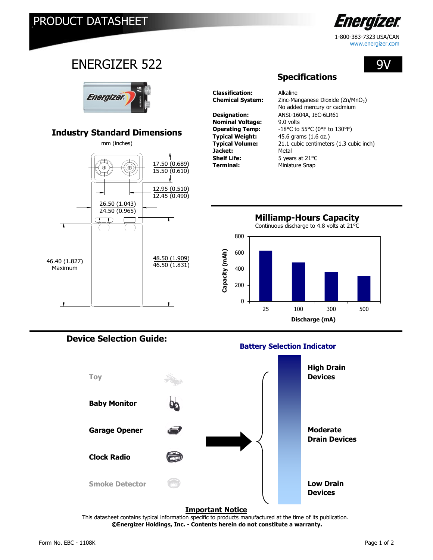

www.energizer.com

9V

ENERGIZER 522



# **Industry Standard Dimensions**



**Classification:** Alkaline

**Nominal Voltage:** 9.0 volts **Jacket:** Metal<br> **Shelf Life:** 5 year **Shelf Life:** 5 years at 21°C<br> **Terminal:** Miniature Snap

Chemical System: Zinc-Manganese Dioxide (Zn/MnO<sub>2</sub>) **Designation:** ANSI-1604A, IEC-6LR61 **Operating Temp:** -18°C to 55°C (0°F to 130°F) **Typical Weight:** 45.6 grams (1.6 oz.)<br> **Typical Volume:** 21.1 cubic centimeter 21.1 cubic centimeters (1.3 cubic inch) **Terminal:** Miniature Snap No added mercury or cadmium

**Specifications**





## **Device Selection Guide:**

### **Battery Selection Indicator**



#### **Important Notice**

 **©Energizer Holdings, Inc. - Contents herein do not constitute a warranty.** This datasheet contains typical information specific to products manufactured at the time of its publication.